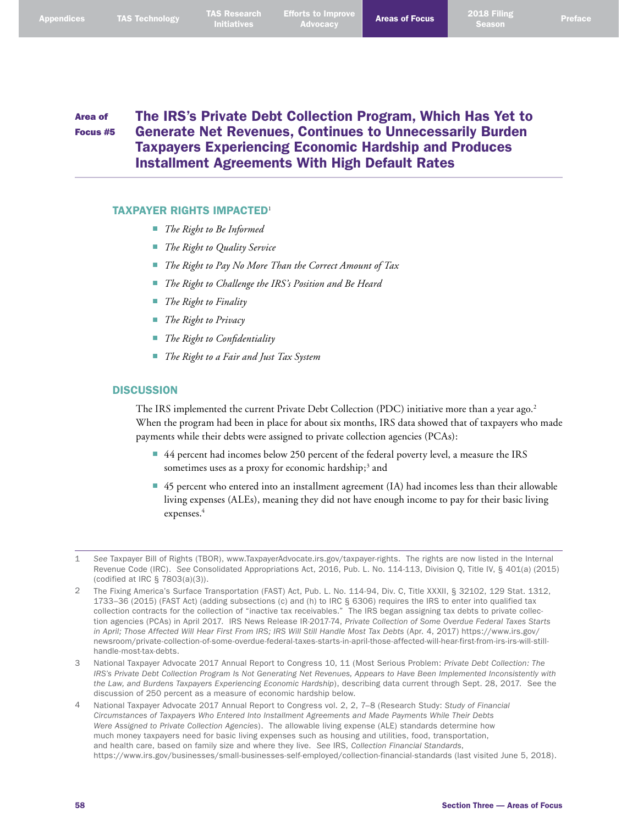#### Area of Focus #5 The IRS's Private Debt Collection Program, Which Has Yet to Generate Net Revenues, Continues to Unnecessarily Burden Taxpayers Experiencing Economic Hardship and Produces Installment Agreements With High Default Rates

## TAXPAYER RIGHTS IMPACTED<sup>1</sup>

- *The Right to Be Informed*
- *The Right to Quality Service*
- *The Right to Pay No More Than the Correct Amount of Tax*
- *The Right to Challenge the IRS's Position and Be Heard*
- *The Right to Finality*
- *The Right to Privacy*
- *The Right to Confidentiality*
- *The Right to a Fair and Just Tax System*

### **DISCUSSION**

The IRS implemented the current Private Debt Collection (PDC) initiative more than a year ago. 2 When the program had been in place for about six months, IRS data showed that of taxpayers who made payments while their debts were assigned to private collection agencies (PCAs):

- 44 percent had incomes below 250 percent of the federal poverty level, a measure the IRS sometimes uses as a proxy for economic hardship;<sup>3</sup> and
- 45 percent who entered into an installment agreement (IA) had incomes less than their allowable living expenses (ALEs), meaning they did not have enough income to pay for their basic living expenses. 4

- 3 National Taxpayer Advocate 2017 Annual Report to Congress 10, 11 (Most Serious Problem: *Private Debt Collection: The IRS's Private Debt Collection Program Is Not Generating Net Revenues, Appears to Have Been Implemented Inconsistently with the Law, and Burdens Taxpayers Experiencing Economic Hardship*), describing data current through Sept. 28, 2017. See the discussion of 250 percent as a measure of economic hardship below.
- 4 National Taxpayer Advocate 2017 Annual Report to Congress vol. 2, 2, 7–8 (Research Study: *Study of Financial Circumstances of Taxpayers Who Entered Into Installment Agreements and Made Payments While Their Debts Were Assigned to Private Collection Agencies*). The allowable living expense (ALE) standards determine how much money taxpayers need for basic living expenses such as housing and utilities, food, transportation, and health care, based on family size and where they live. *See* IRS, *Collection Financial Standards*, <https://www.irs.gov/businesses/small-businesses-self-employed/collection-financial-standards>(last visited June 5, 2018).

<sup>1</sup> *See* Taxpayer Bill of Rights (TBOR), [www.TaxpayerAdvocate.irs.gov/taxpayer-rights](http://www.TaxpayerAdvocate.irs.gov/taxpayer-rights). The rights are now listed in the Internal Revenue Code (IRC). *See* Consolidated Appropriations Act, 2016, Pub. L. No. 114-113, Division Q, Title IV, § 401(a) (2015) (codified at IRC § 7803(a)(3)).

<sup>2</sup> The Fixing America's Surface Transportation (FAST) Act, Pub. L. No. 114-94, Div. C, Title XXXII, § 32102, 129 Stat. 1312, 1733–36 (2015) (FAST Act) (adding subsections (c) and (h) to IRC § 6306) requires the IRS to enter into qualified tax collection contracts for the collection of "inactive tax receivables." The IRS began assigning tax debts to private collection agencies (PCAs) in April 2017. IRS News Release IR-2017-74, *Private Collection of Some Overdue Federal Taxes Starts in April; Those Affected Will Hear First From IRS; IRS Will Still Handle Most Tax Debts* (Apr. 4, 2017) [https://www.irs.gov/](https://www.irs.gov/newsroom/private-collection-of-some-overdue-federal-taxes-starts-in-april-those-affected-will-hear-first-from-irs-irs-will-still-handle-most-tax-debts) [newsroom/private-collection-of-some-overdue-federal-taxes-starts-in-april-those-affected-will-hear-first-from-irs-irs-will-still](https://www.irs.gov/newsroom/private-collection-of-some-overdue-federal-taxes-starts-in-april-those-affected-will-hear-first-from-irs-irs-will-still-handle-most-tax-debts)[handle-most-tax-debts.](https://www.irs.gov/newsroom/private-collection-of-some-overdue-federal-taxes-starts-in-april-those-affected-will-hear-first-from-irs-irs-will-still-handle-most-tax-debts)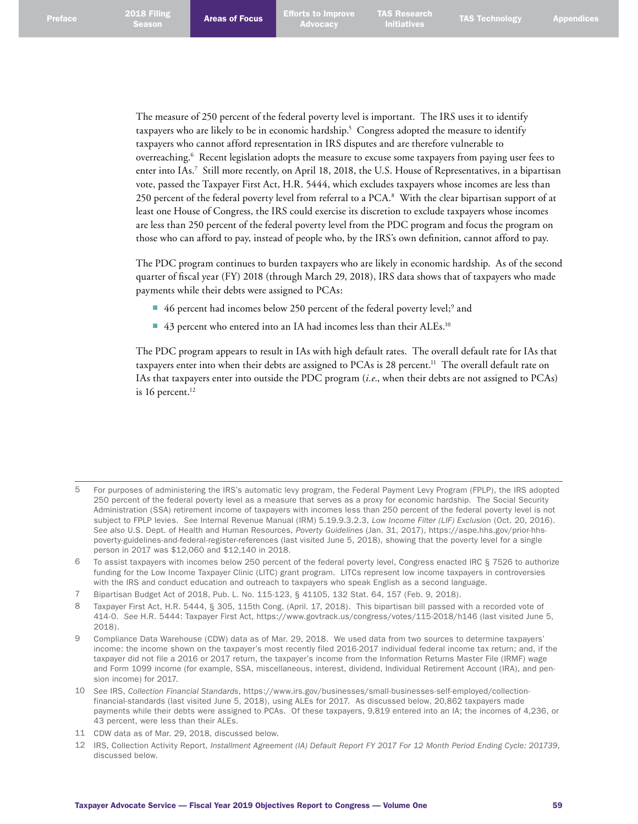Areas of Focus Efforts to Improve Advocacy

TAS Research as research and TAS Technology and Appendices

The measure of 250 percent of the federal poverty level is important. The IRS uses it to identify taxpayers who are likely to be in economic hardship. 5 Congress adopted the measure to identify taxpayers who cannot afford representation in IRS disputes and are therefore vulnerable to overreaching. 6 Recent legislation adopts the measure to excuse some taxpayers from paying user fees to enter into IAs. 7 Still more recently, on April 18, 2018, the U.S. House of Representatives, in a bipartisan vote, passed the Taxpayer First Act, H.R. 5444, which excludes taxpayers whose incomes are less than 250 percent of the federal poverty level from referral to a PCA. 8 With the clear bipartisan support of at least one House of Congress, the IRS could exercise its discretion to exclude taxpayers whose incomes are less than 250 percent of the federal poverty level from the PDC program and focus the program on those who can afford to pay, instead of people who, by the IRS's own definition, cannot afford to pay.

The PDC program continues to burden taxpayers who are likely in economic hardship. As of the second quarter of fiscal year (FY) 2018 (through March 29, 2018), IRS data shows that of taxpayers who made payments while their debts were assigned to PCAs:

- $\blacksquare$  46 percent had incomes below 250 percent of the federal poverty level;<sup>9</sup> and
- 43 percent who entered into an IA had incomes less than their ALEs.<sup>10</sup>

The PDC program appears to result in IAs with high default rates. The overall default rate for IAs that taxpayers enter into when their debts are assigned to PCAs is 28 percent. 11 The overall default rate on IAs that taxpayers enter into outside the PDC program (*i.e*., when their debts are not assigned to PCAs) is 16 percent. 12

11 CDW data as of Mar. 29, 2018, discussed below.

<sup>5</sup> For purposes of administering the IRS's automatic levy program, the Federal Payment Levy Program (FPLP), the IRS adopted 250 percent of the federal poverty level as a measure that serves as a proxy for economic hardship. The Social Security Administration (SSA) retirement income of taxpayers with incomes less than 250 percent of the federal poverty level is not subject to FPLP levies. *See* Internal Revenue Manual (IRM) 5.19.9.3.2.3, *Low Income Filter (LIF) Exclusion* (Oct. 20, 2016). *See also* U.S. Dept. of Health and Human Resources, *Poverty Guidelines* (Jan. 31, 2017), [https://aspe.hhs.gov/prior-hhs](https://aspe.hhs.gov/prior-hhs-poverty-guidelines-and-federal-register-references)[poverty-guidelines-and-federal-register-references](https://aspe.hhs.gov/prior-hhs-poverty-guidelines-and-federal-register-references) (last visited June 5, 2018), showing that the poverty level for a single person in 2017 was \$12,060 and \$12,140 in 2018.

<sup>6</sup> To assist taxpayers with incomes below 250 percent of the federal poverty level, Congress enacted IRC § 7526 to authorize funding for the Low Income Taxpayer Clinic (LITC) grant program. LITCs represent low income taxpayers in controversies with the IRS and conduct education and outreach to taxpayers who speak English as a second language.

<sup>7</sup> Bipartisan Budget Act of 2018, Pub. L. No. 115-123, § 41105, 132 Stat. 64, 157 (Feb. 9, 2018).

<sup>8</sup> Taxpayer First Act, H.R. 5444, § 305, 115th Cong. (April. 17, 2018). This bipartisan bill passed with a recorded vote of 414-0. *See* H.R. 5444: Taxpayer First Act,<https://www.govtrack.us/congress/votes/115-2018/h146> (last visited June 5, 2018).

<sup>9</sup> Compliance Data Warehouse (CDW) data as of Mar. 29, 2018. We used data from two sources to determine taxpayers' income: the income shown on the taxpayer's most recently filed 2016-2017 individual federal income tax return; and, if the taxpayer did not file a 2016 or 2017 return, the taxpayer's income from the Information Returns Master File (IRMF) wage and Form 1099 income (for example, SSA, miscellaneous, interest, dividend, Individual Retirement Account (IRA), and pension income) for 2017.

<sup>10</sup> *See* IRS, *Collection Financial Standards*, [https://www.irs.gov/businesses/small-businesses-self-employed/collection](https://www.irs.gov/businesses/small-businesses-self-employed/collection-financial-standards)[financial-standards](https://www.irs.gov/businesses/small-businesses-self-employed/collection-financial-standards) (last visited June 5, 2018), using ALEs for 2017. As discussed below, 20,862 taxpayers made payments while their debts were assigned to PCAs. Of these taxpayers, 9,819 entered into an IA; the incomes of 4,236, or 43 percent, were less than their ALEs.

<sup>12</sup> IRS, Collection Activity Report, *Installment Agreement (IA) Default Report FY 2017 For 12 Month Period Ending Cycle: 201739*, discussed below.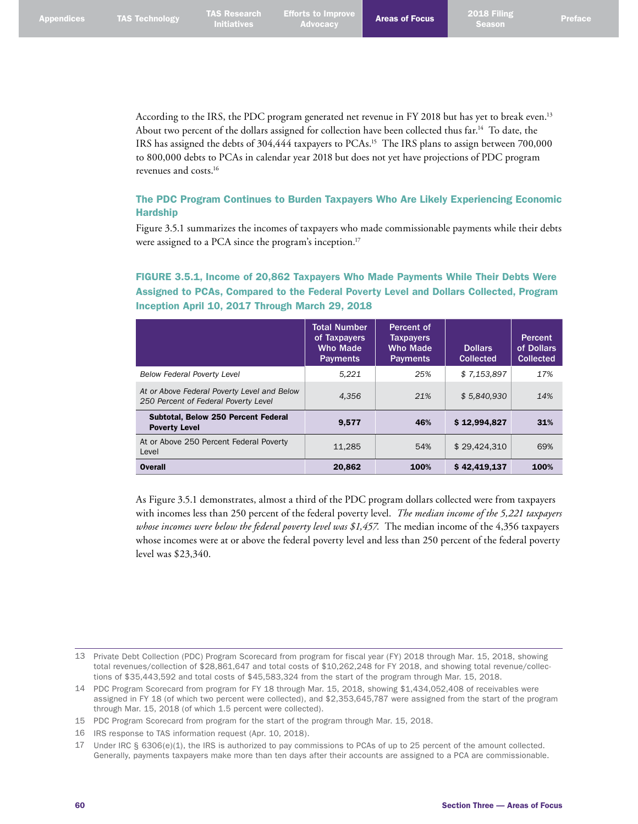According to the IRS, the PDC program generated net revenue in FY 2018 but has yet to break even.<sup>13</sup> About two percent of the dollars assigned for collection have been collected thus far. 14 To date, the IRS has assigned the debts of 304,444 taxpayers to PCAs. 15 The IRS plans to assign between 700,000 to 800,000 debts to PCAs in calendar year 2018 but does not yet have projections of PDC program revenues and costs. 16

# The PDC Program Continues to Burden Taxpayers Who Are Likely Experiencing Economic **Hardship**

Figure 3.5.1 summarizes the incomes of taxpayers who made commissionable payments while their debts were assigned to a PCA since the program's inception. 17

# FIGURE 3.5.1, Income of 20,862 Taxpayers Who Made Payments While Their Debts Were Assigned to PCAs, Compared to the Federal Poverty Level and Dollars Collected, Program Inception April 10, 2017 Through March 29, 2018

|                                                                                     | <b>Total Number</b><br>of Taxpayers<br><b>Who Made</b><br><b>Payments</b> | Percent of<br><b>Taxpayers</b><br><b>Who Made</b><br><b>Payments</b> | <b>Dollars</b><br><b>Collected</b> | Percent<br>of Dollars<br><b>Collected</b> |
|-------------------------------------------------------------------------------------|---------------------------------------------------------------------------|----------------------------------------------------------------------|------------------------------------|-------------------------------------------|
| <b>Below Federal Poverty Level</b>                                                  | 5.221                                                                     | 25%                                                                  | \$7,153,897                        | 17%                                       |
| At or Above Federal Poverty Level and Below<br>250 Percent of Federal Poverty Level | 4.356                                                                     | 21%                                                                  | \$5,840,930                        | 14%                                       |
| Subtotal, Below 250 Percent Federal<br><b>Poverty Level</b>                         | 9.577                                                                     | 46%                                                                  | \$12.994.827                       | 31%                                       |
| At or Above 250 Percent Federal Poverty<br>Level                                    | 11.285                                                                    | 54%                                                                  | \$29,424,310                       | 69%                                       |
| <b>Overall</b>                                                                      | 20.862                                                                    | 100%                                                                 | \$42,419.137                       | 100%                                      |

As Figure 3.5.1 demonstrates, almost a third of the PDC program dollars collected were from taxpayers with incomes less than 250 percent of the federal poverty level. *The median income of the 5,221 taxpayers whose incomes were below the federal poverty level was \$1,457.* The median income of the 4,356 taxpayers whose incomes were at or above the federal poverty level and less than 250 percent of the federal poverty level was \$23,340.

<sup>13</sup> Private Debt Collection (PDC) Program Scorecard from program for fiscal year (FY) 2018 through Mar. 15, 2018, showing total revenues/collection of \$28,861,647 and total costs of \$10,262,248 for FY 2018, and showing total revenue/collections of \$35,443,592 and total costs of \$45,583,324 from the start of the program through Mar. 15, 2018.

<sup>14</sup> PDC Program Scorecard from program for FY 18 through Mar. 15, 2018, showing \$1,434,052,408 of receivables were assigned in FY 18 (of which two percent were collected), and \$2,353,645,787 were assigned from the start of the program through Mar. 15, 2018 (of which 1.5 percent were collected).

<sup>15</sup> PDC Program Scorecard from program for the start of the program through Mar. 15, 2018.

<sup>16</sup> IRS response to TAS information request (Apr. 10, 2018).

<sup>17</sup> Under IRC § 6306(e)(1), the IRS is authorized to pay commissions to PCAs of up to 25 percent of the amount collected. Generally, payments taxpayers make more than ten days after their accounts are assigned to a PCA are commissionable.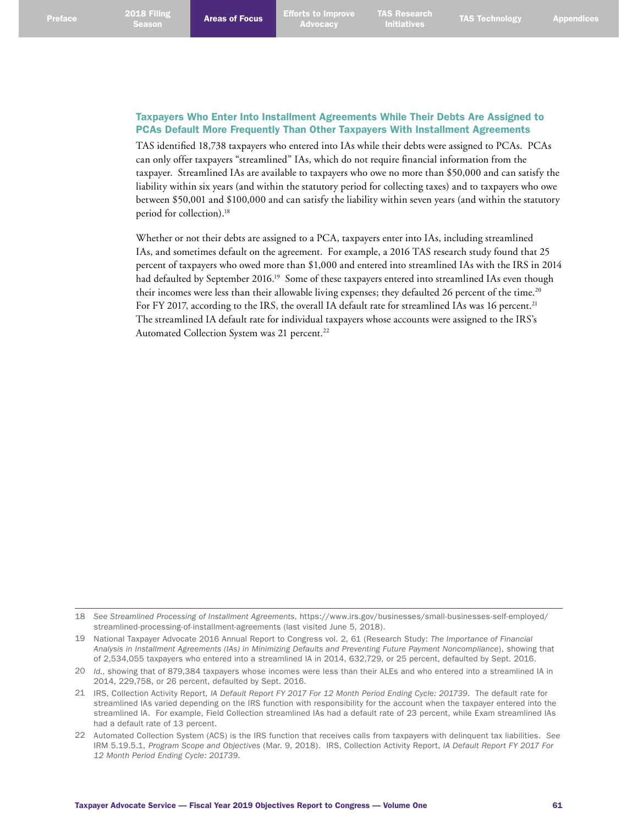# Taxpayers Who Enter Into Installment Agreements While Their Debts Are Assigned to PCAs Default More Frequently Than Other Taxpayers With Installment Agreements

TAS identified 18,738 taxpayers who entered into IAs while their debts were assigned to PCAs. PCAs can only offer taxpayers "streamlined" IAs, which do not require financial information from the taxpayer. Streamlined IAs are available to taxpayers who owe no more than \$50,000 and can satisfy the liability within six years (and within the statutory period for collecting taxes) and to taxpayers who owe between \$50,001 and \$100,000 and can satisfy the liability within seven years (and within the statutory period for collection). 18

Whether or not their debts are assigned to a PCA, taxpayers enter into IAs, including streamlined IAs, and sometimes default on the agreement. For example, a 2016 TAS research study found that 25 percent of taxpayers who owed more than \$1,000 and entered into streamlined IAs with the IRS in 2014 had defaulted by September 2016.<sup>19</sup> Some of these taxpayers entered into streamlined IAs even though their incomes were less than their allowable living expenses; they defaulted 26 percent of the time. 20 For FY 2017, according to the IRS, the overall IA default rate for streamlined IAs was 16 percent.<sup>21</sup> The streamlined IA default rate for individual taxpayers whose accounts were assigned to the IRS's Automated Collection System was 21 percent. 22

<sup>18</sup> *See Streamlined Processing of Installment Agreements*, [https://www.irs.gov/businesses/small-businesses-self-employed/](https://www.irs.gov/businesses/small-businesses-self-employed/streamlined-processing-of-installment-agreements) [streamlined-processing-of-installment-agreements](https://www.irs.gov/businesses/small-businesses-self-employed/streamlined-processing-of-installment-agreements) (last visited June 5, 2018).

<sup>19</sup> National Taxpayer Advocate 2016 Annual Report to Congress vol. 2, 61 (Research Study: *The Importance of Financial Analysis in Installment Agreements (IAs) in Minimizing Defaults and Preventing Future Payment Noncompliance*), showing that of 2,534,055 taxpayers who entered into a streamlined IA in 2014, 632,729, or 25 percent, defaulted by Sept. 2016.

<sup>20</sup> *Id.*, showing that of 879,384 taxpayers whose incomes were less than their ALEs and who entered into a streamlined IA in 2014, 229,758, or 26 percent, defaulted by Sept. 2016.

<sup>21</sup> IRS, Collection Activity Report, *IA Default Report FY 2017 For 12 Month Period Ending Cycle: 201739*. The default rate for streamlined IAs varied depending on the IRS function with responsibility for the account when the taxpayer entered into the streamlined IA. For example, Field Collection streamlined IAs had a default rate of 23 percent, while Exam streamlined IAs had a default rate of 13 percent.

<sup>22</sup> Automated Collection System (ACS) is the IRS function that receives calls from taxpayers with delinquent tax liabilities. *See* IRM 5.19.5.1, *Program Scope and Objectives* (Mar. 9, 2018). IRS, Collection Activity Report, *IA Default Report FY 2017 For 12 Month Period Ending Cycle: 201739*.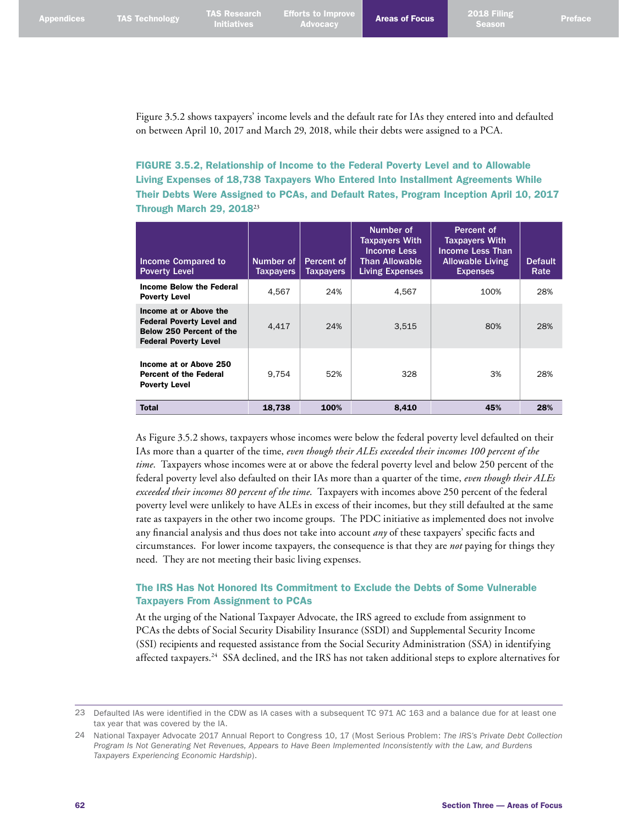Figure 3.5.2 shows taxpayers' income levels and the default rate for IAs they entered into and defaulted on between April 10, 2017 and March 29, 2018, while their debts were assigned to a PCA.

FIGURE 3.5.2, Relationship of Income to the Federal Poverty Level and to Allowable Living Expenses of 18,738 Taxpayers Who Entered Into Installment Agreements While Their Debts Were Assigned to PCAs, and Default Rates, Program Inception April 10, 2017 Through March 29, 2018<sup>23</sup>

| Income Compared to<br><b>Poverty Level</b>                                                                                    | Number of<br><b>Taxpayers</b> | Percent of<br><b>Taxpayers</b> | Number of<br><b>Taxpayers With</b><br><b>Income Less</b><br><b>Than Allowable</b><br><b>Living Expenses</b> | Percent of<br><b>Taxpayers With</b><br>Income Less Than<br><b>Allowable Living</b><br><b>Expenses</b> | <b>Default</b><br>Rate |
|-------------------------------------------------------------------------------------------------------------------------------|-------------------------------|--------------------------------|-------------------------------------------------------------------------------------------------------------|-------------------------------------------------------------------------------------------------------|------------------------|
| <b>Income Below the Federal</b><br><b>Poverty Level</b>                                                                       | 4.567                         | 24%                            | 4.567                                                                                                       | 100%                                                                                                  | 28%                    |
| Income at or Above the<br><b>Federal Poverty Level and</b><br><b>Below 250 Percent of the</b><br><b>Federal Poverty Level</b> | 4.417                         | 24%                            | 3.515                                                                                                       | 80%                                                                                                   | 28%                    |
| Income at or Above 250<br><b>Percent of the Federal</b><br><b>Poverty Level</b>                                               | 9.754                         | 52%                            | 328                                                                                                         | 3%                                                                                                    | 28%                    |
| <b>Total</b>                                                                                                                  | 18,738                        | 100%                           | 8,410                                                                                                       | 45%                                                                                                   | 28%                    |

As Figure 3.5.2 shows, taxpayers whose incomes were below the federal poverty level defaulted on their IAs more than a quarter of the time, *even though their ALEs exceeded their incomes 100 percent of the time*. Taxpayers whose incomes were at or above the federal poverty level and below 250 percent of the federal poverty level also defaulted on their IAs more than a quarter of the time, *even though their ALEs exceeded their incomes 80 percent of the time*. Taxpayers with incomes above 250 percent of the federal poverty level were unlikely to have ALEs in excess of their incomes, but they still defaulted at the same rate as taxpayers in the other two income groups. The PDC initiative as implemented does not involve any financial analysis and thus does not take into account *any* of these taxpayers' specific facts and circumstances. For lower income taxpayers, the consequence is that they are *not* paying for things they need. They are not meeting their basic living expenses.

# The IRS Has Not Honored Its Commitment to Exclude the Debts of Some Vulnerable Taxpayers From Assignment to PCAs

At the urging of the National Taxpayer Advocate, the IRS agreed to exclude from assignment to PCAs the debts of Social Security Disability Insurance (SSDI) and Supplemental Security Income (SSI) recipients and requested assistance from the Social Security Administration (SSA) in identifying affected taxpayers.<sup>24</sup> SSA declined, and the IRS has not taken additional steps to explore alternatives for

<sup>23</sup> Defaulted IAs were identified in the CDW as IA cases with a subsequent TC 971 AC 163 and a balance due for at least one tax year that was covered by the IA.

<sup>24</sup> National Taxpayer Advocate 2017 Annual Report to Congress 10, 17 (Most Serious Problem: *The IRS's Private Debt Collection Program Is Not Generating Net Revenues, Appears to Have Been Implemented Inconsistently with the Law, and Burdens Taxpayers Experiencing Economic Hardship*).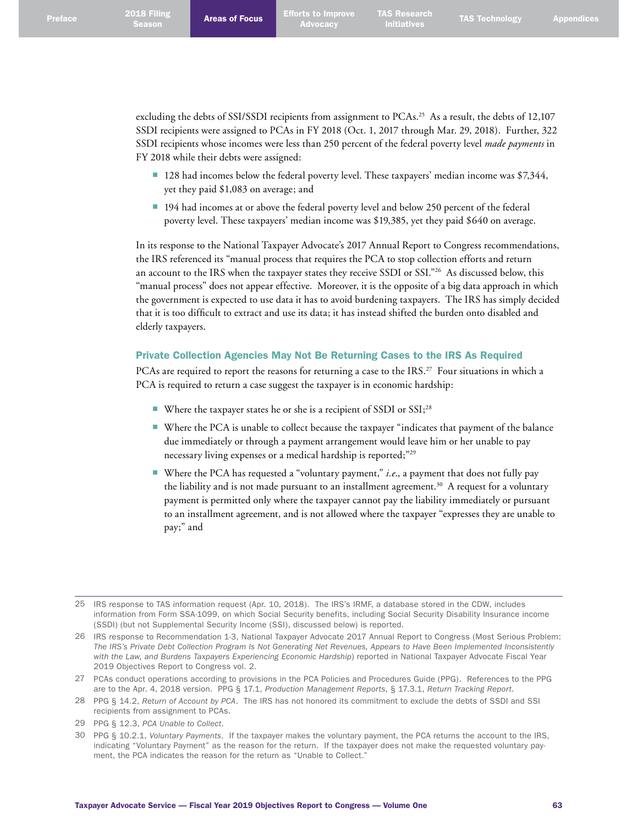excluding the debts of SSI/SSDI recipients from assignment to PCAs. 25 As a result, the debts of 12,107 SSDI recipients were assigned to PCAs in FY 2018 (Oct. 1, 2017 through Mar. 29, 2018). Further, 322 SSDI recipients whose incomes were less than 250 percent of the federal poverty level *made payments* in FY 2018 while their debts were assigned:

- 128 had incomes below the federal poverty level. These taxpayers' median income was \$7,344, yet they paid \$1,083 on average; and
- 194 had incomes at or above the federal poverty level and below 250 percent of the federal poverty level. These taxpayers' median income was \$19,385, yet they paid \$640 on average.

In its response to the National Taxpayer Advocate's 2017 Annual Report to Congress recommendations, the IRS referenced its "manual process that requires the PCA to stop collection efforts and return an account to the IRS when the taxpayer states they receive SSDI or SSI."<sup>26</sup> As discussed below, this "manual process" does not appear effective. Moreover, it is the opposite of a big data approach in which the government is expected to use data it has to avoid burdening taxpayers. The IRS has simply decided that it is too difficult to extract and use its data; it has instead shifted the burden onto disabled and elderly taxpayers.

### Private Collection Agencies May Not Be Returning Cases to the IRS As Required

PCAs are required to report the reasons for returning a case to the IRS.<sup>27</sup> Four situations in which a PCA is required to return a case suggest the taxpayer is in economic hardship:

- Where the taxpayer states he or she is a recipient of SSDI or  $\text{SSI}: \mathbb{R}^2$
- Where the PCA is unable to collect because the taxpayer "indicates that payment of the balance due immediately or through a payment arrangement would leave him or her unable to pay necessary living expenses or a medical hardship is reported;"29
- Where the PCA has requested a "voluntary payment," *i.e.*, a payment that does not fully pay the liability and is not made pursuant to an installment agreement. 30 A request for a voluntary payment is permitted only where the taxpayer cannot pay the liability immediately or pursuant to an installment agreement, and is not allowed where the taxpayer "expresses they are unable to pay;" and

29 PPG § 12.3, *PCA Unable to Collect*.

<sup>25</sup> IRS response to TAS information request (Apr. 10, 2018). The IRS's IRMF, a database stored in the CDW, includes information from Form SSA-1099, on which Social Security benefits, including Social Security Disability Insurance income (SSDI) (but not Supplemental Security Income (SSI), discussed below) is reported.

<sup>26</sup> IRS response to Recommendation 1-3, National Taxpayer Advocate 2017 Annual Report to Congress (Most Serious Problem: *The IRS's Private Debt Collection Program Is Not Generating Net Revenues, Appears to Have Been Implemented Inconsistently with the Law, and Burdens Taxpayers Experiencing Economic Hardship*) reported in National Taxpayer Advocate Fiscal Year 2019 Objectives Report to Congress vol. 2.

<sup>27</sup> PCAs conduct operations according to provisions in the PCA Policies and Procedures Guide (PPG). References to the PPG are to the Apr. 4, 2018 version. PPG § 17.1, *Production Management Reports*, § 17.3.1, *Return Tracking Report*.

<sup>28</sup> PPG § 14.2, *Return of Account by PCA*. The IRS has not honored its commitment to exclude the debts of SSDI and SSI recipients from assignment to PCAs.

<sup>30</sup> PPG § 10.2.1, *Voluntary Payments*. If the taxpayer makes the voluntary payment, the PCA returns the account to the IRS, indicating "Voluntary Payment" as the reason for the return. If the taxpayer does not make the requested voluntary payment, the PCA indicates the reason for the return as "Unable to Collect."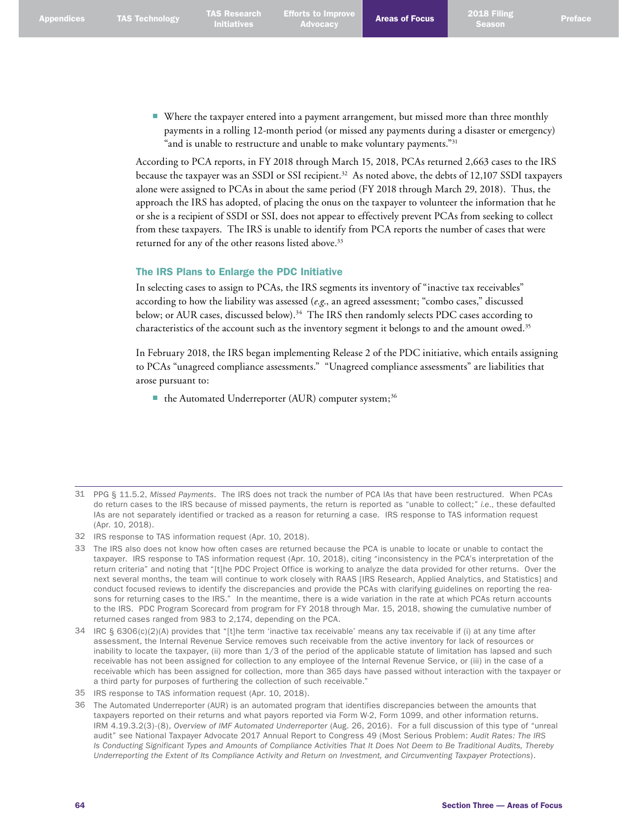■ Where the taxpayer entered into a payment arrangement, but missed more than three monthly payments in a rolling 12-month period (or missed any payments during a disaster or emergency) and is unable to restructure and unable to make voluntary payments."<sup>31</sup>

According to PCA reports, in FY 2018 through March 15, 2018, PCAs returned 2,663 cases to the IRS because the taxpayer was an SSDI or SSI recipient. 32 As noted above, the debts of 12,107 SSDI taxpayers alone were assigned to PCAs in about the same period (FY 2018 through March 29, 2018). Thus, the approach the IRS has adopted, of placing the onus on the taxpayer to volunteer the information that he or she is a recipient of SSDI or SSI, does not appear to effectively prevent PCAs from seeking to collect from these taxpayers. The IRS is unable to identify from PCA reports the number of cases that were returned for any of the other reasons listed above. 33

#### The IRS Plans to Enlarge the PDC Initiative

In selecting cases to assign to PCAs, the IRS segments its inventory of "inactive tax receivables" according to how the liability was assessed (*e.g*., an agreed assessment; "combo cases," discussed below; or AUR cases, discussed below). 34 The IRS then randomly selects PDC cases according to characteristics of the account such as the inventory segment it belongs to and the amount owed. 35

In February 2018, the IRS began implementing Release 2 of the PDC initiative, which entails assigning to PCAs "unagreed compliance assessments." "Unagreed compliance assessments" are liabilities that arose pursuant to:

 $\blacksquare$  the Automated Underreporter (AUR) computer system;<sup>36</sup>

<sup>31</sup> PPG § 11.5.2, *Missed Payments*. The IRS does not track the number of PCA IAs that have been restructured. When PCAs do return cases to the IRS because of missed payments, the return is reported as "unable to collect;" *i.e*., these defaulted IAs are not separately identified or tracked as a reason for returning a case. IRS response to TAS information request (Apr. 10, 2018).

<sup>32</sup> IRS response to TAS information request (Apr. 10, 2018).

<sup>33</sup> The IRS also does not know how often cases are returned because the PCA is unable to locate or unable to contact the taxpayer. IRS response to TAS information request (Apr. 10, 2018), citing "inconsistency in the PCA's interpretation of the return criteria" and noting that "[t]he PDC Project Office is working to analyze the data provided for other returns. Over the next several months, the team will continue to work closely with RAAS [IRS Research, Applied Analytics, and Statistics] and conduct focused reviews to identify the discrepancies and provide the PCAs with clarifying guidelines on reporting the reasons for returning cases to the IRS." In the meantime, there is a wide variation in the rate at which PCAs return accounts to the IRS. PDC Program Scorecard from program for FY 2018 through Mar. 15, 2018, showing the cumulative number of returned cases ranged from 983 to 2,174, depending on the PCA.

<sup>34</sup> IRC § 6306(c)(2)(A) provides that "[t]he term 'inactive tax receivable' means any tax receivable if (i) at any time after assessment, the Internal Revenue Service removes such receivable from the active inventory for lack of resources or inability to locate the taxpayer, (ii) more than 1/3 of the period of the applicable statute of limitation has lapsed and such receivable has not been assigned for collection to any employee of the Internal Revenue Service, or (iii) in the case of a receivable which has been assigned for collection, more than 365 days have passed without interaction with the taxpayer or a third party for purposes of furthering the collection of such receivable."

<sup>35</sup> IRS response to TAS information request (Apr. 10, 2018).

<sup>36</sup> The Automated Underreporter (AUR) is an automated program that identifies discrepancies between the amounts that taxpayers reported on their returns and what payors reported via Form W-2, Form 1099, and other information returns. IRM 4.19.3.2(3)-(8), *Overview of IMF Automated Underreporter* (Aug. 26, 2016). For a full discussion of this type of "unreal audit" see National Taxpayer Advocate 2017 Annual Report to Congress 49 (Most Serious Problem: *Audit Rates: The IRS Is Conducting Significant Types and Amounts of Compliance Activities That It Does Not Deem to Be Traditional Audits, Thereby Underreporting the Extent of Its Compliance Activity and Return on Investment, and Circumventing Taxpayer Protections*).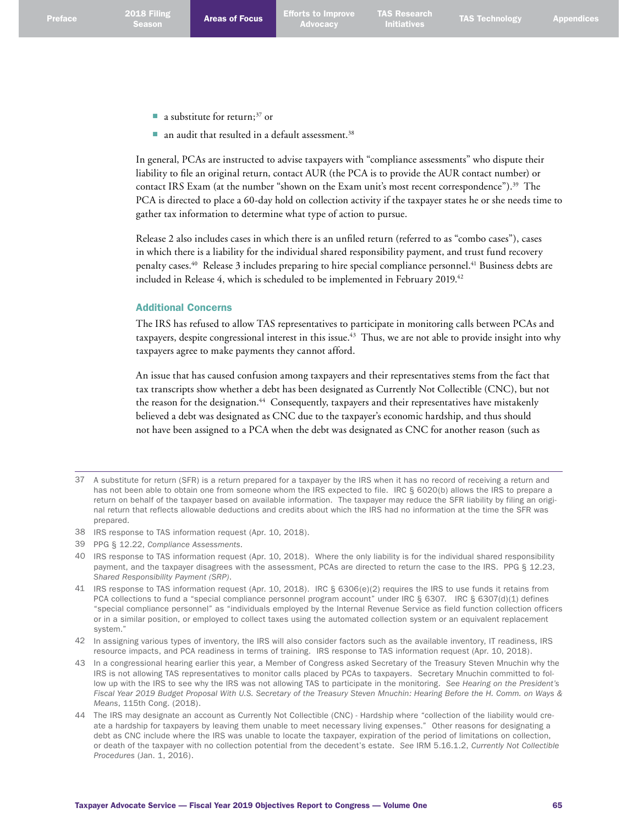- a substitute for return;<sup>37</sup> or
- $\blacksquare$  an audit that resulted in a default assessment.<sup>38</sup>

In general, PCAs are instructed to advise taxpayers with "compliance assessments" who dispute their liability to file an original return, contact AUR (the PCA is to provide the AUR contact number) or contact IRS Exam (at the number "shown on the Exam unit's most recent correspondence"). 39 The PCA is directed to place a 60-day hold on collection activity if the taxpayer states he or she needs time to gather tax information to determine what type of action to pursue.

Release 2 also includes cases in which there is an unfiled return (referred to as "combo cases"), cases in which there is a liability for the individual shared responsibility payment, and trust fund recovery penalty cases. 40 Release 3 includes preparing to hire special compliance personnel. 41 Business debts are included in Release 4, which is scheduled to be implemented in February 2019. 42

# Additional Concerns

The IRS has refused to allow TAS representatives to participate in monitoring calls between PCAs and taxpayers, despite congressional interest in this issue. 43 Thus, we are not able to provide insight into why taxpayers agree to make payments they cannot afford.

An issue that has caused confusion among taxpayers and their representatives stems from the fact that tax transcripts show whether a debt has been designated as Currently Not Collectible (CNC), but not the reason for the designation. 44 Consequently, taxpayers and their representatives have mistakenly believed a debt was designated as CNC due to the taxpayer's economic hardship, and thus should not have been assigned to a PCA when the debt was designated as CNC for another reason (such as

- 38 IRS response to TAS information request (Apr. 10, 2018).
- 39 PPG § 12.22, *Compliance Assessments*.
- 40 IRS response to TAS information request (Apr. 10, 2018). Where the only liability is for the individual shared responsibility payment, and the taxpayer disagrees with the assessment, PCAs are directed to return the case to the IRS. PPG § 12.23, *Shared Responsibility Payment (SRP)*.
- 41 IRS response to TAS information request (Apr. 10, 2018). IRC § 6306(e)(2) requires the IRS to use funds it retains from PCA collections to fund a "special compliance personnel program account" under IRC § 6307. IRC § 6307(d)(1) defines "special compliance personnel" as "individuals employed by the Internal Revenue Service as field function collection officers or in a similar position, or employed to collect taxes using the automated collection system or an equivalent replacement system."
- 42 In assigning various types of inventory, the IRS will also consider factors such as the available inventory, IT readiness, IRS resource impacts, and PCA readiness in terms of training. IRS response to TAS information request (Apr. 10, 2018).
- 43 In a congressional hearing earlier this year, a Member of Congress asked Secretary of the Treasury Steven Mnuchin why the IRS is not allowing TAS representatives to monitor calls placed by PCAs to taxpayers. Secretary Mnuchin committed to follow up with the IRS to see why the IRS was not allowing TAS to participate in the monitoring. *See Hearing on the President's Fiscal Year 2019 Budget Proposal With U.S. Secretary of the Treasury Steven Mnuchin: Hearing Before the H. Comm. on Ways & Means*, 115th Cong. (2018).
- 44 The IRS may designate an account as Currently Not Collectible (CNC) Hardship where "collection of the liability would create a hardship for taxpayers by leaving them unable to meet necessary living expenses." Other reasons for designating a debt as CNC include where the IRS was unable to locate the taxpayer, expiration of the period of limitations on collection, or death of the taxpayer with no collection potential from the decedent's estate. *See* IRM 5.16.1.2, *Currently Not Collectible Procedures* (Jan. 1, 2016).

<sup>37</sup> A substitute for return (SFR) is a return prepared for a taxpayer by the IRS when it has no record of receiving a return and has not been able to obtain one from someone whom the IRS expected to file. IRC § 6020(b) allows the IRS to prepare a return on behalf of the taxpayer based on available information. The taxpayer may reduce the SFR liability by filing an original return that reflects allowable deductions and credits about which the IRS had no information at the time the SFR was prepared.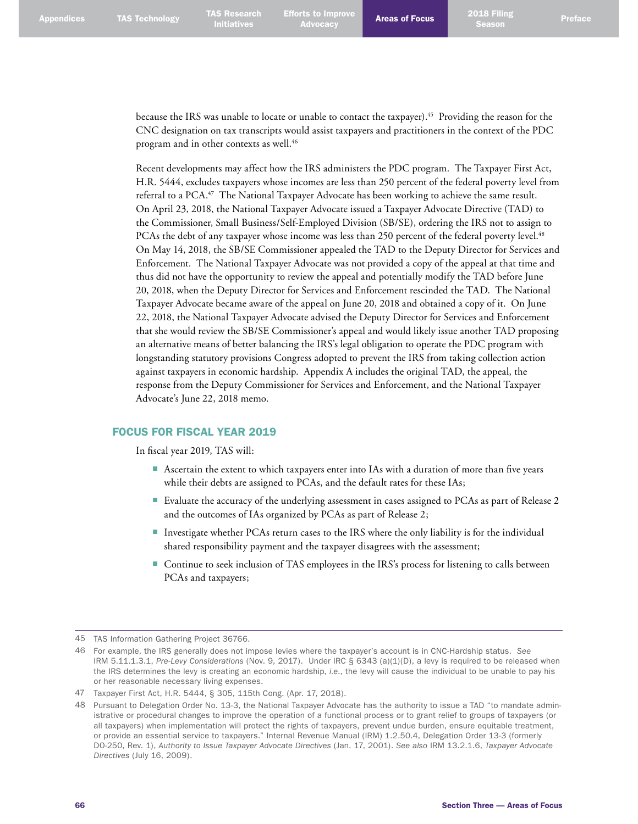because the IRS was unable to locate or unable to contact the taxpayer). 45 Providing the reason for the CNC designation on tax transcripts would assist taxpayers and practitioners in the context of the PDC program and in other contexts as well. 46

Recent developments may affect how the IRS administers the PDC program. The Taxpayer First Act, H.R. 5444, excludes taxpayers whose incomes are less than 250 percent of the federal poverty level from referral to a PCA.<sup>47</sup> The National Taxpayer Advocate has been working to achieve the same result. On April 23, 2018, the National Taxpayer Advocate issued a Taxpayer Advocate Directive (TAD) to the Commissioner, Small Business/Self-Employed Division (SB/SE), ordering the IRS not to assign to PCAs the debt of any taxpayer whose income was less than 250 percent of the federal poverty level.<sup>48</sup> On May 14, 2018, the SB/SE Commissioner appealed the TAD to the Deputy Director for Services and Enforcement. The National Taxpayer Advocate was not provided a copy of the appeal at that time and thus did not have the opportunity to review the appeal and potentially modify the TAD before June 20, 2018, when the Deputy Director for Services and Enforcement rescinded the TAD. The National Taxpayer Advocate became aware of the appeal on June 20, 2018 and obtained a copy of it. On June 22, 2018, the National Taxpayer Advocate advised the Deputy Director for Services and Enforcement that she would review the SB/SE Commissioner's appeal and would likely issue another TAD proposing an alternative means of better balancing the IRS's legal obligation to operate the PDC program with longstanding statutory provisions Congress adopted to prevent the IRS from taking collection action against taxpayers in economic hardship. Appendix A includes the original TAD, the appeal, the response from the Deputy Commissioner for Services and Enforcement, and the National Taxpayer Advocate's June 22, 2018 memo.

#### FOCUS FOR FISCAL YEAR 2019

In fiscal year 2019, TAS will:

- Ascertain the extent to which taxpayers enter into IAs with a duration of more than five years while their debts are assigned to PCAs, and the default rates for these IAs;
- Evaluate the accuracy of the underlying assessment in cases assigned to PCAs as part of Release 2 and the outcomes of IAs organized by PCAs as part of Release 2;
- Investigate whether PCAs return cases to the IRS where the only liability is for the individual shared responsibility payment and the taxpayer disagrees with the assessment;
- Continue to seek inclusion of TAS employees in the IRS's process for listening to calls between PCAs and taxpayers;

<sup>45</sup> TAS Information Gathering Project 36766.

<sup>46</sup> For example, the IRS generally does not impose levies where the taxpayer's account is in CNC-Hardship status. *See* IRM 5.11.1.3.1, *Pre-Levy Considerations* (Nov. 9, 2017). Under IRC § 6343 (a)(1)(D), a levy is required to be released when the IRS determines the levy is creating an economic hardship, *i.e*., the levy will cause the individual to be unable to pay his or her reasonable necessary living expenses.

<sup>47</sup> Taxpayer First Act, H.R. 5444, § 305, 115th Cong. (Apr. 17, 2018).

<sup>48</sup> Pursuant to Delegation Order No. 13-3, the National Taxpayer Advocate has the authority to issue a TAD "to mandate administrative or procedural changes to improve the operation of a functional process or to grant relief to groups of taxpayers (or all taxpayers) when implementation will protect the rights of taxpayers, prevent undue burden, ensure equitable treatment, or provide an essential service to taxpayers." Internal Revenue Manual (IRM) 1.2.50.4, Delegation Order 13-3 (formerly DO-250, Rev. 1), *Authority to Issue Taxpayer Advocate Directives* (Jan. 17, 2001). *See also* IRM 13.2.1.6, *Taxpayer Advocate Directives* (July 16, 2009).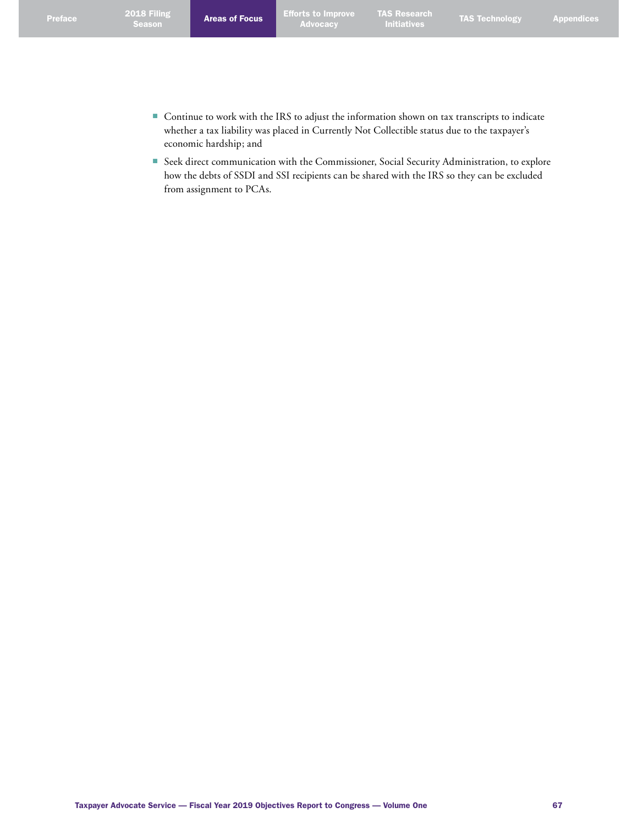- Continue to work with the IRS to adjust the information shown on tax transcripts to indicate whether a tax liability was placed in Currently Not Collectible status due to the taxpayer's economic hardship; and
- Seek direct communication with the Commissioner, Social Security Administration, to explore how the debts of SSDI and SSI recipients can be shared with the IRS so they can be excluded from assignment to PCAs.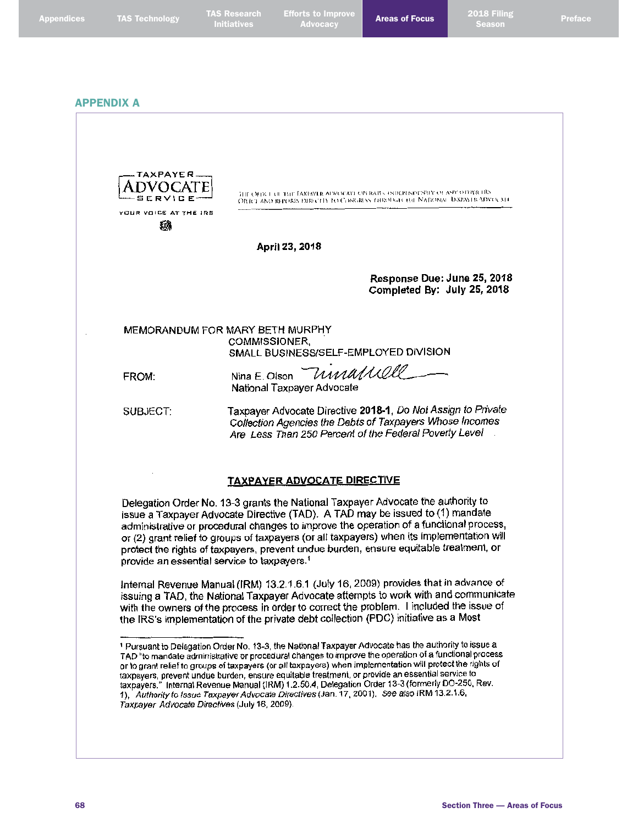Preface

### APPENDIX A

**TAXPAYER** DVOCAT SERVICE

YOUR VOICE AT THE IRS 缅

THE OFFICE OF THE TAXPAYLR ADVOCATE OPERATES EXPLICION NOTS ITY OF ANY OTHER HRS OTHER AND REPORTS DIRECTLY TO CONGRESS THROUGH OHE NATIONAL JAKPACH ADVOCALL

### April 23, 2018

Response Due: June 25, 2018 Completed By: July 25, 2018

### MEMORANDUM FOR MARY BETH MURPHY COMMISSIONER. SMALL BUSINESS/SELF-EMPLOYED DIVISION

FROM:

*MinalWell* Nina E. Olson National Taxpayer Advocate

SUBJECT:

Taxpayer Advocate Directive 2018-1, Do Not Assign to Private Collection Agencies the Debts of Taxpayers Whose Incomes Are Less Than 250 Percent of the Federal Poverty Level

## **TAXPAYER ADVOCATE DIRECTIVE**

Delegation Order No. 13-3 grants the National Taxpayer Advocate the authority to issue a Taxpayer Advocate Directive (TAD). A TAD may be issued to (1) mandate administrative or procedural changes to improve the operation of a functional process, or (2) grant relief to groups of taxpayers (or all taxpayers) when its implementation will protect the rights of taxpayers, prevent undue burden, ensure equitable treatment, or provide an essential service to taxpayers.<sup>1</sup>

Internal Revenue Manual (IRM) 13.2.1.6.1 (July 16, 2009) provides that in advance of issuing a TAD, the National Taxpayer Advocate attempts to work with and communicate with the owners of the process in order to correct the problem. I included the issue of the IRS's implementation of the private debt collection (PDC) initiative as a Most

<sup>&</sup>lt;sup>1</sup> Pursuant to Delegation Order No. 13-3, the National Taxpayer Advocate has the authority to issue a TAD "to mandate administrative or procedural changes to improve the operation of a functional process or to grant relief to groups of taxpayers (or all taxpayers) when implementation will protect the rights of taxpayers, prevent undue burden, ensure equitable treatment, or provide an essential service to taxpayers." Internal Revenue Manual (IRM) 1.2.50.4, Delegation Order 13-3 (formerly DO-250, Rev. 1), Authority to Issue Taxpayer Advocate Directives (Jan. 17, 2001). See also IRM 13.2.1.6. Taxpayer Advocate Directives (July 16, 2009).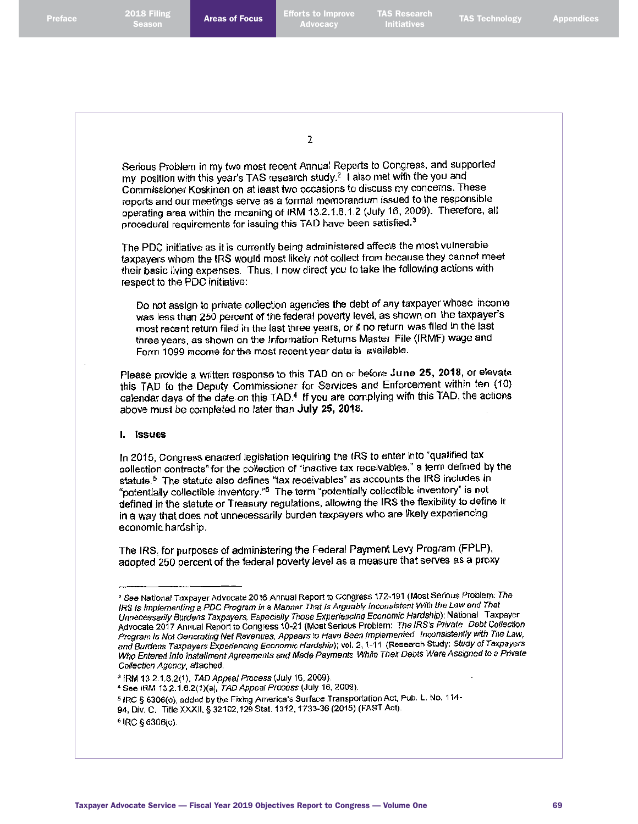$\overline{2}$ 

Serious Problem in my two most recent Annual Reports to Congress, and supported my position with this year's TAS research study.<sup>2</sup> I also met with the you and Commissioner Koskinen on at least two occasions to discuss my concerns. These reports and our meetings serve as a formal memorandum issued to the responsible operating area within the meaning of IRM 13.2.1.6.1.2 (July 16, 2009). Therefore, all procedural requirements for issuing this TAD have been satisfied.<sup>3</sup>

The PDC initiative as it is currently being administered affects the most vulnerable taxpayers whom the IRS would most likely not collect from because they cannot meet their basic living expenses. Thus, I now direct you to take the following actions with respect to the PDC initiative:

Do not assign to private collection agencies the debt of any taxpayer whose income was less than 250 percent of the federal poverty level, as shown on the taxpayer's most recent return filed in the last three years, or if no return was filed in the last three years, as shown on the Information Returns Master File (IRMF) wage and Form 1099 income for the most recent year data is available.

Please provide a written response to this TAD on or before June 25, 2018, or elevate this TAD to the Deputy Commissioner for Services and Enforcement within ten (10) calendar days of the date on this TAD.<sup>4</sup> If you are complying with this TAD, the actions above must be completed no later than July 25, 2018.

#### I. issues

In 2015, Congress enacted legislation requiring the IRS to enter into "qualified tax collection contracts" for the collection of "inactive tax receivables," a term defined by the statute.<sup>5</sup> The statute also defines "tax receivables" as accounts the IRS includes in "potentially collectible inventory."<sup>6</sup> The term "potentially collectible inventory" is not defined in the statute or Treasury regulations, allowing the IRS the flexibility to define it in a way that does not unnecessarily burden taxpayers who are likely experiencing economic hardship.

The IRS, for purposes of administering the Federal Payment Levy Program (FPLP), adopted 250 percent of the federal poverty level as a measure that serves as a proxy

- <sup>3</sup> IRM 13.2.1.6.2(1), TAD Appeal Process (July 16, 2009).
- <sup>4</sup> See IRM 13.2.1.6.2(1)(a), TAD Appeal Process (July 16, 2009).
- <sup>5</sup> IRC § 6306(c), added by the Fixing America's Surface Transportation Act, Pub. L. No. 114-
- 94, Div. C. Title XXXII, § 32102, 129 Stat. 1312, 1733-36 (2015) (FAST Act).

6 IRC § 6306(c).

<sup>&</sup>lt;sup>2</sup> See National Taxpayer Advocate 2016 Annual Report to Congress 172-191 (Most Serious Problem: The IRS Is Implementing a PDC Program in a Manner That Is Arguably Inconsistent With the Law and That Unnecessarily Burdens Taxpayers, Especially Those Experiencing Economic Hardship); National Taxpayer Advocate 2017 Annual Report to Congress 10-21 (Most Serious Problem: The IRS's Private Debt Collection Program is Not Generating Net Revenues, Appears to Have Been Implemented Inconsistently with The Law, and Burdens Taxpayers Experiencing Economic Hardship); vol. 2, 1-11 (Research Study: Study of Taxpayers Who Entered into Installment Agreements and Made Payments While Their Debts Were Assigned to a Private Collection Agency, attached.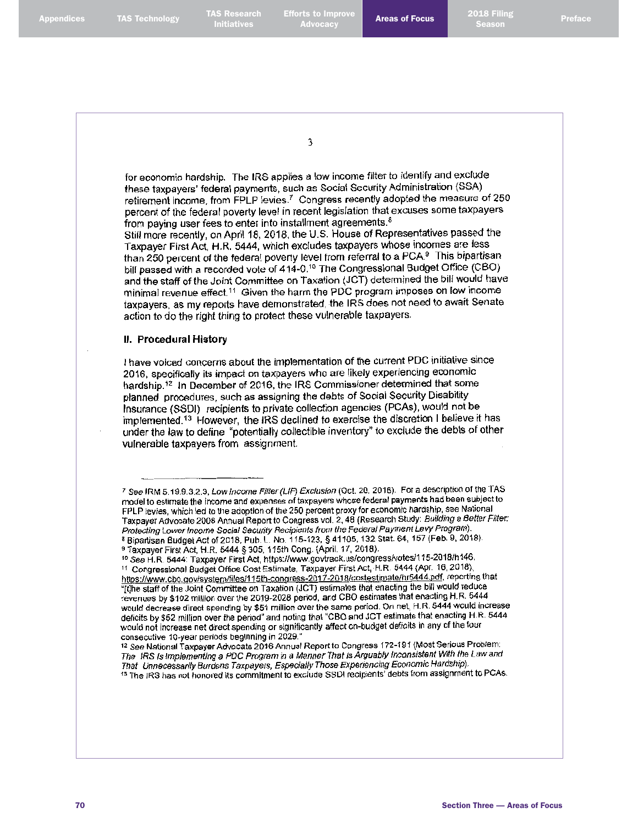$\overline{3}$ 

for economic hardship. The IRS applies a low income filter to identify and exclude these taxpayers' federal payments, such as Social Security Administration (SSA) retirement income, from FPLP levies.<sup>7</sup> Congress recently adopted the measure of 250 percent of the federal poverty level in recent legislation that excuses some taxpayers from paying user fees to enter into installment agreements.<sup>8</sup> Still more recently, on April 18, 2018, the U.S. House of Representatives passed the Taxpayer First Act, H.R. 5444, which excludes taxpayers whose incomes are less than 250 percent of the federal poverty level from referral to a PCA.<sup>9</sup> This bipartisan bill passed with a recorded vote of 414-0.<sup>10</sup> The Congressional Budget Office (CBO) and the staff of the Joint Committee on Taxation (JCT) determined the bill would have minimal revenue effect.<sup>11</sup> Given the harm the PDC program imposes on low income

taxpayers, as my reports have demonstrated, the IRS does not need to await Senate

action to do the right thing to protect these vulnerable taxpayers.

#### II. Procedural History

I have voiced concerns about the implementation of the current PDC initiative since 2016, specifically its impact on taxpayers who are likely experiencing economic hardship.<sup>12</sup> In December of 2016, the IRS Commissioner determined that some planned procedures, such as assigning the debts of Social Security Disability Insurance (SSDI) recipients to private collection agencies (PCAs), would not be implemented.<sup>13</sup> However, the IRS declined to exercise the discretion I believe it has under the law to define "potentially collectible inventory" to exclude the debts of other vulnerable taxpayers from assignment.

<sup>7</sup> See IRM 5.19.9.3.2.3, Low Income Filter (LIF) Exclusion (Oct. 20, 2016). For a description of the TAS model to estimate the income and expenses of taxpayers whose federal payments had been subject to FPLP levies, which led to the adoption of the 250 percent proxy for economic hardship, see National Taxpayer Advocate 2008 Annual Report to Congress vol. 2, 48 (Research Study: Building a Better Filter: Protecting Lower Income Social Security Recipients from the Federal Payment Levy Program). 8 Bipartisan Budget Act of 2018, Pub. L. No. 115-123, § 41105, 132 Stat. 64, 157 (Feb. 9, 2018).

<sup>&</sup>lt;sup>9</sup> Taxpayer First Act, H.R. 5444 § 305, 115th Cong. (April. 17, 2018).

<sup>&</sup>lt;sup>10</sup> See H.R. 5444: Taxpayer First Act, https://www.govtrack.us/congress/votes/115-2018/h146.

<sup>&</sup>lt;sup>11</sup> Congressional Budget Office Cost Estimate, Taxpayer First Act, H.R. 5444 (Apr. 16, 2018), https://www.cbo.gov/system/files/115th-congress-2017-2018/costestimate/hr5444.pdf, reporting that "[the staff of the Joint Committee on Taxation (JCT) estimates that enacting the bill would reduce revenues by \$102 million over the 2019-2028 period, and CBO estimates that enacting H.R. 5444 would decrease direct spending by \$51 million over the same period. On net, H.R. 5444 would increase deficits by \$52 million over the period" and noting that "CBO and JCT estimate that enacting H.R. 5444 would not increase net direct spending or significantly affect on-budget deficits in any of the four consecutive 10-year periods beginning in 2029."

<sup>12</sup> See National Taxpayer Advocate 2016 Annual Report to Congress 172-191 (Most Serious Problem: The IRS is Implementing a PDC Program in a Manner That is Arguably Inconsistent With the Law and That Unnecessarily Burdens Taxpayers, Especially Those Experiencing Economic Hardship). <sup>15</sup> The IRS has not honored its commitment to exclude SSDI recipients' debts from assignment to PCAs.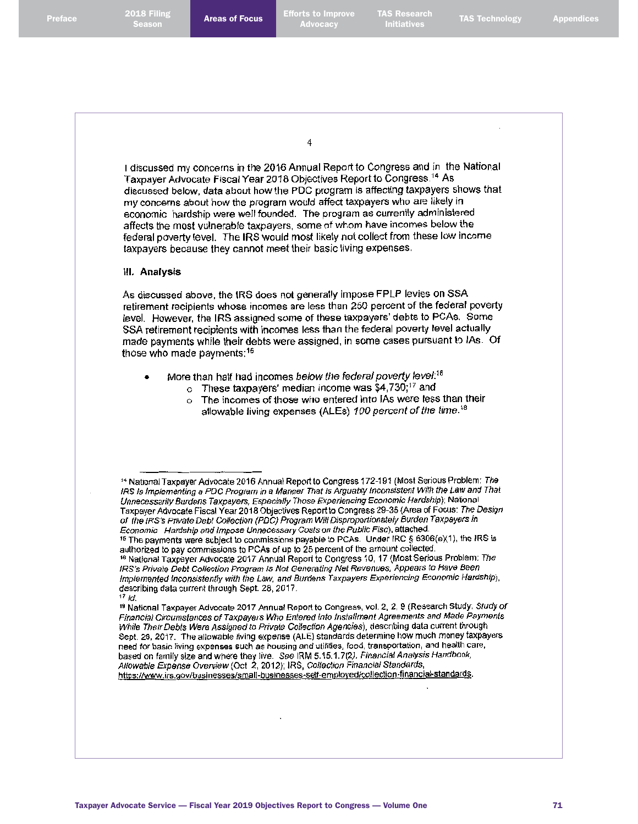Areas of Focus Efforts to Improve Advocacy

TAS Research

4

I discussed my concerns in the 2016 Annual Report to Congress and in the National Taxpayer Advocate Fiscal Year 2018 Objectives Report to Congress.<sup>14</sup> As discussed below, data about how the PDC program is affecting taxpayers shows that my concerns about how the program would affect taxpayers who are likely in economic hardship were well founded. The program as currently administered affects the most vulnerable taxpavers, some of whom have incomes below the federal poverty level. The IRS would most likely not collect from these low income taxpayers because they cannot meet their basic living expenses.

#### III. Analysis

As discussed above, the IRS does not generally impose FPLP levies on SSA retirement recipients whose incomes are less than 250 percent of the federal poverty level. However, the IRS assigned some of these taxpayers' debts to PCAs. Some SSA retirement recipients with incomes less than the federal poverty level actually made payments while their debts were assigned, in some cases pursuant to IAs. Of those who made payments:<sup>15</sup>

More than half had incomes below the federal poverty level:<sup>16</sup>

- o These taxpayers' median income was  $$4,730,17$  and
- The incomes of those who entered into IAs were less than their  $\Omega$ allowable living expenses (ALEs) 100 percent of the time.<sup>18</sup>

<sup>&</sup>lt;sup>14</sup> National Taxpayer Advocate 2016 Annual Report to Congress 172-191 (Most Serious Problem: The IRS Is Implementing a PDC Program in a Manner That is Arguably Inconsistent With the Law and That Unnecessarily Burdens Taxpayers, Especially Those Experiencing Economic Hardship); National Taxpayer Advocate Fiscal Year 2018 Objectives Report to Congress 29-35 (Area of Focus: The Design of the IRS's Private Debt Collection (PDC) Program Will Disproportionately Burden Taxpayers in Economic Hardship and Impose Unnecessary Costs on the Public Fisc), attached.

<sup>&</sup>lt;sup>16</sup> The payments were subject to commissions payable to PCAs. Under IRC § 6306(e)(1), the IRS is authorized to pay commissions to PCAs of up to 25 percent of the amount collected. 16 National Taxpayer Advocate 2017 Annual Report to Congress 10, 17 (Most Serious Problem: The IRS's Private Debt Collection Program Is Not Generating Net Revenues, Appears to Have Been Implemented Inconsistently with the Law, and Burdens Taxpayers Experiencing Economic Hardship), describing data current through Sept. 28, 2017.  $17/d.$ 

<sup>&</sup>lt;sup>18</sup> National Taxpayer Advocate 2017 Annual Report to Congress, vol. 2, 2, 9 (Research Study: Study of Financial Circumstances of Taxpayers Who Entered Into Installment Agreements and Made Payments While Their Debts Were Assigned to Private Collection Agencies), describing data current through Sept. 28, 2017. The allowable living expense (ALE) standards determine how much money taxpayers need for basic fiving expenses such as housing and utilities, food, transportation, and health care, based on family size and where they live. See IRM 5.15.1.7(2), Financial Analysis Handbook, Allowable Expense Overview (Oct. 2, 2012); IRS, Collection Financial Standards, https://www.irs.gov/businesses/small-businesses-self-employed/collection-financial-standards.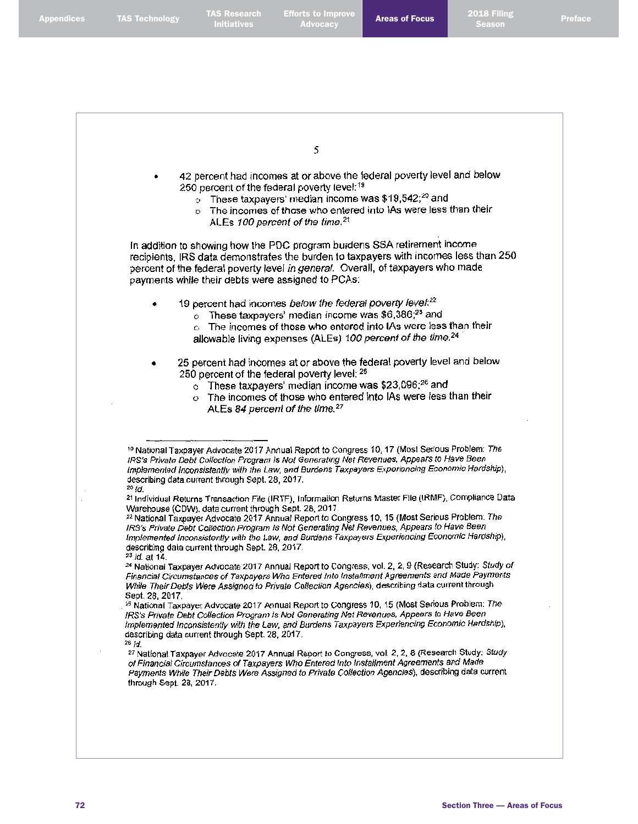|                   | 5                                                                                                                                                                                                                                                                                                                                                                                                                                                                                                                                           |
|-------------------|---------------------------------------------------------------------------------------------------------------------------------------------------------------------------------------------------------------------------------------------------------------------------------------------------------------------------------------------------------------------------------------------------------------------------------------------------------------------------------------------------------------------------------------------|
|                   | 42 percent had incomes at or above the federal poverty level and below<br>250 percent of the federal poverty level: <sup>19</sup><br>$\circ$ These taxpayers' median income was \$19,542; <sup>20</sup> and<br>The incomes of those who entered into IAs were less than their<br>O<br>ALEs 100 percent of the time. <sup>21</sup>                                                                                                                                                                                                           |
|                   |                                                                                                                                                                                                                                                                                                                                                                                                                                                                                                                                             |
|                   | In addition to showing how the PDC program burdens SSA retirement income<br>recipients, IRS data demonstrates the burden to taxpayers with incomes less than 250<br>percent of the federal poverty level in general. Overall, of taxpayers who made<br>payments while their debts were assigned to PCAs:                                                                                                                                                                                                                                    |
|                   | 19 percent had incomes below the federal poverty level: <sup>22</sup>                                                                                                                                                                                                                                                                                                                                                                                                                                                                       |
|                   | These taxpayers' median income was \$6,386; <sup>23</sup> and<br>$\circ$<br>The incomes of those who entered into IAs were less than their                                                                                                                                                                                                                                                                                                                                                                                                  |
|                   | $\circ$<br>allowable living expenses (ALEs) 100 percent of the time. <sup>24</sup>                                                                                                                                                                                                                                                                                                                                                                                                                                                          |
|                   | 25 percent had incomes at or above the federal poverty level and below                                                                                                                                                                                                                                                                                                                                                                                                                                                                      |
|                   | 250 percent of the federal poverty level: 25<br>$\circ$ These taxpayers' median income was \$23,096; <sup>26</sup> and                                                                                                                                                                                                                                                                                                                                                                                                                      |
|                   | The incomes of those who entered into IAs were less than their<br>$\circ$                                                                                                                                                                                                                                                                                                                                                                                                                                                                   |
|                   | ALEs 84 percent of the time. <sup>27</sup>                                                                                                                                                                                                                                                                                                                                                                                                                                                                                                  |
| <sup>20</sup> id. | <sup>19</sup> National Taxpayer Advocate 2017 Annual Report to Congress 10, 17 (Most Serious Problem: The<br>IRS's Private Debt Collection Program Is Not Generating Net Revenues, Appears to Have Been<br>implemented inconsistently with the Law, and Burdens Taxpayers Experiencing Economic Hardship),<br>describing data current through Sept. 28, 2017.<br><sup>21</sup> Individual Returns Transaction File (IRTF), Information Returns Master File (IRMF), Compliance Data<br>Warehouse (CDW), data current through Sept. 28, 2017. |
| $23$ /d. at 14.   | <sup>22</sup> National Taxpayer Advocate 2017 Annual Report to Congress 10, 15 (Most Serious Problem: The<br>IRS's Private Debt Collection Program Is Not Generating Net Revenues, Appears to Have Been<br>Implemented Inconsistently with the Law, and Burdens Taxpayers Experiencing Economic Hardship),<br>describing data current through Sept. 28, 2017.                                                                                                                                                                               |
| Sept. 28, 2017.   | <sup>24</sup> National Taxpayer Advocate 2017 Annual Report to Congress, vol. 2, 2, 9 (Research Study: Study of<br>Financial Circumstances of Taxpayers Who Entered Into Installment Agreements and Made Payments<br>While Their Debts Were Assigned to Private Collection Agencies), describing data current through                                                                                                                                                                                                                       |
|                   | <sup>25</sup> National Taxpayer Advocate 2017 Annual Report to Congress 10, 15 (Most Serious Problem: The<br>IRS's Private Debt Collection Program Is Not Generating Net Revenues, Appears to Have Been<br>Implemented Inconsistently with the Law, and Burdens Taxpayers Experiencing Economic Hardship),<br>describing data current through Sept. 28, 2017.                                                                                                                                                                               |
| <sup>26</sup> [d. | 27 National Taxpayer Advocate 2017 Annual Report to Congress, vol. 2, 2, 8 (Research Study: Study                                                                                                                                                                                                                                                                                                                                                                                                                                           |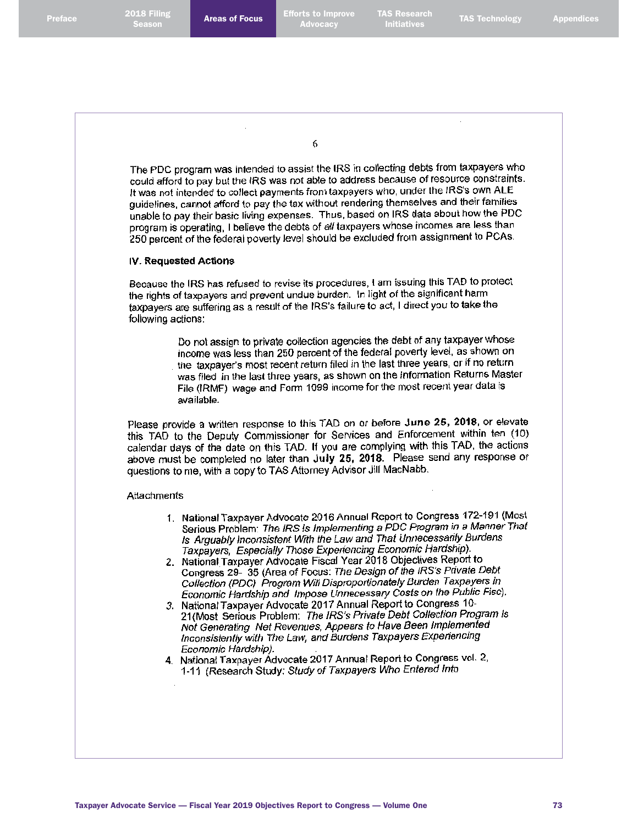Areas of Focus Efforts to Improve Advocacy

6

The PDC program was intended to assist the IRS in collecting debts from taxpayers who could afford to pay but the IRS was not able to address because of resource constraints. It was not intended to collect payments from taxpayers who, under the IRS's own ALE guidelines, cannot afford to pay the tax without rendering themselves and their families unable to pay their basic living expenses. Thus, based on IRS data about how the PDC program is operating, I believe the debts of all taxpayers whose incomes are less than 250 percent of the federal poverty level should be excluded from assignment to PCAs.

#### IV. Requested Actions

Because the IRS has refused to revise its procedures, I am issuing this TAD to protect the rights of taxpayers and prevent undue burden. In light of the significant harm taxpayers are suffering as a result of the IRS's failure to act, I direct you to take the following actions:

> Do not assign to private collection agencies the debt of any taxpayer whose income was less than 250 percent of the federal poverty level, as shown on the taxpayer's most recent return filed in the last three years, or if no return was filed in the last three years, as shown on the Information Returns Master File (IRMF) wage and Form 1099 income for the most recent year data is available.

Please provide a written response to this TAD on or before June 25, 2018, or elevate this TAD to the Deputy Commissioner for Services and Enforcement within ten (10) calendar days of the date on this TAD. If you are complying with this TAD, the actions above must be completed no later than July 25, 2018. Please send any response or questions to me, with a copy to TAS Attorney Advisor Jill MacNabb.

#### Attachments

- 1. National Taxpayer Advocate 2016 Annual Report to Congress 172-191 (Most Serious Problem: The IRS Is Implementing a PDC Program in a Manner That Is Arguably Inconsistent With the Law and That Unnecessarily Burdens Taxpayers, Especially Those Experiencing Economic Hardship).
- 2. National Taxpayer Advocate Fiscal Year 2018 Objectives Report to Congress 29- 35 (Area of Focus: The Design of the IRS's Private Debt Collection (PDC) Program Will Disproportionately Burden Taxpayers in Economic Hardship and Impose Unnecessary Costs on the Public Fisc).
- 3. National Taxpayer Advocate 2017 Annual Report to Congress 10-21(Most Serious Problem: The IRS's Private Debt Collection Program Is Not Generating Net Revenues, Appears to Have Been Implemented Inconsistently with The Law, and Burdens Taxpayers Experiencing Economic Hardship).
- 4. National Taxpayer Advocate 2017 Annual Report to Congress vol. 2, 1-11 (Research Study: Study of Taxpayers Who Entered Into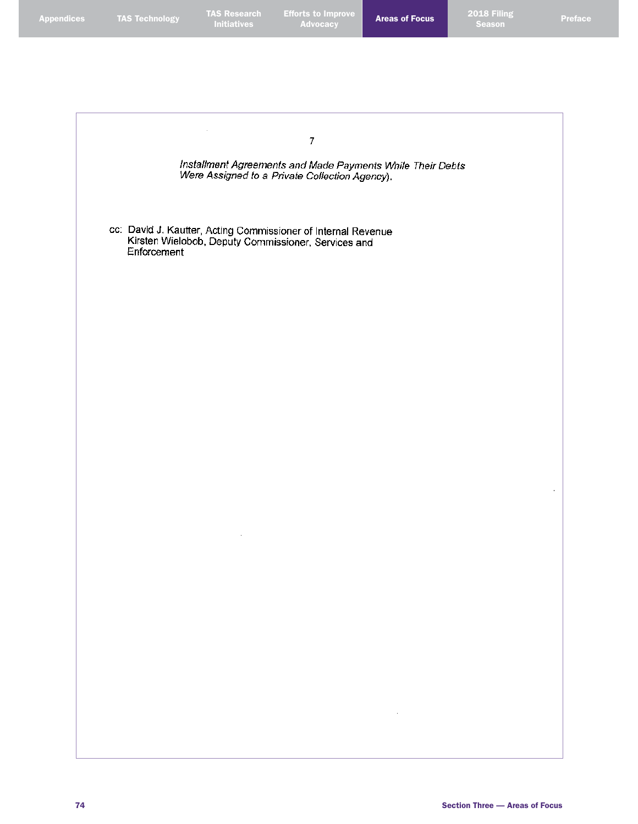Appendices TAS Technology TAS Research Initiatives

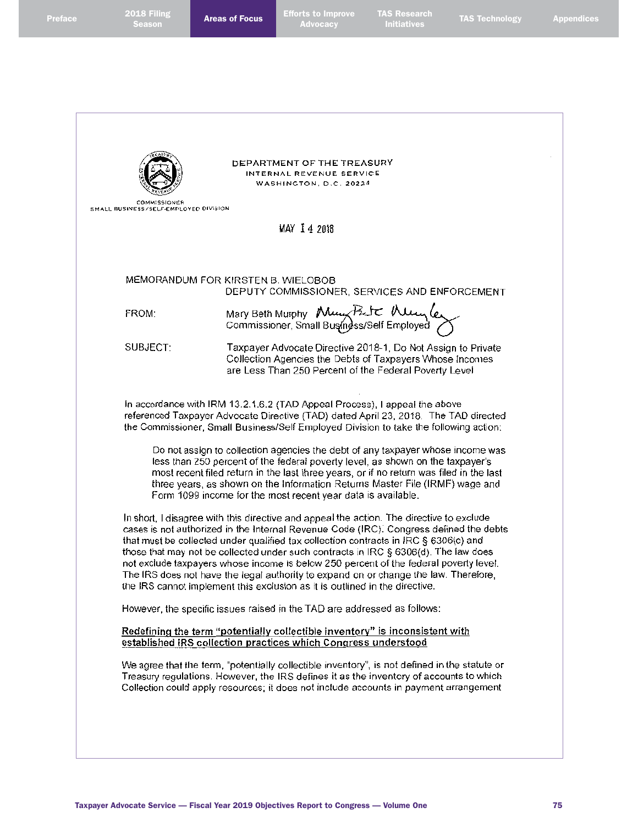| $-7.7$ |      |  |
|--------|------|--|
|        | ના ત |  |

118 Filing **Areas of Focus** Efforts to Improve **Container** 

| <b>COMMISSIONER</b><br>SMALL BUSINESS/SELF-EMPLOYED DIVISION | DEPARTMENT OF THE TREASURY<br>INTERNAL REVENUE SERVICE<br>WASHINGTON, D.C. 20224                                                                                                                                                                                                                                                                                                                                                                                                                                                                                                                                                  |
|--------------------------------------------------------------|-----------------------------------------------------------------------------------------------------------------------------------------------------------------------------------------------------------------------------------------------------------------------------------------------------------------------------------------------------------------------------------------------------------------------------------------------------------------------------------------------------------------------------------------------------------------------------------------------------------------------------------|
|                                                              | MAY 14 2018                                                                                                                                                                                                                                                                                                                                                                                                                                                                                                                                                                                                                       |
|                                                              |                                                                                                                                                                                                                                                                                                                                                                                                                                                                                                                                                                                                                                   |
|                                                              | MEMORANDUM FOR KIRSTEN B. WIELOBOB<br>DEPUTY COMMISSIONER, SERVICES AND ENFORCEMENT                                                                                                                                                                                                                                                                                                                                                                                                                                                                                                                                               |
| FROM:                                                        | Mary Beth Murphy Mun Bit Number                                                                                                                                                                                                                                                                                                                                                                                                                                                                                                                                                                                                   |
| SUBJECT:                                                     | Taxpayer Advocate Directive 2018-1, Do Not Assign to Private<br>Collection Agencies the Debts of Taxpayers Whose Incomes<br>are Less Than 250 Percent of the Federal Poverty Level                                                                                                                                                                                                                                                                                                                                                                                                                                                |
|                                                              | In accordance with IRM 13.2.1.6.2 (TAD Appeal Process), I appeal the above<br>referenced Taxpayer Advocate Directive (TAD) dated April 23, 2018. The TAD directed<br>the Commissioner, Small Business/Self Employed Division to take the following action:                                                                                                                                                                                                                                                                                                                                                                        |
|                                                              | Do not assign to collection agencies the debt of any taxpayer whose income was<br>less than 250 percent of the federal poverty level, as shown on the taxpayer's<br>most recent filed return in the last three years, or if no return was filed in the last<br>three years, as shown on the Information Returns Master File (IRMF) wage and<br>Form 1099 income for the most recent year data is available.                                                                                                                                                                                                                       |
|                                                              | In short, I disagree with this directive and appeal the action. The directive to exclude<br>cases is not authorized in the Internal Revenue Code (IRC). Congress defined the debts<br>that must be collected under qualified tax collection contracts in IRC § 6306(c) and<br>those that may not be collected under such contracts in IRC § 6306(d). The law does<br>not exclude taxpayers whose income is below 250 percent of the federal poverty level.<br>The IRS does not have the legal authority to expand on or change the law. Therefore,<br>the IRS cannot implement this exclusion as it is outlined in the directive. |
|                                                              | However, the specific issues raised in the TAD are addressed as follows:                                                                                                                                                                                                                                                                                                                                                                                                                                                                                                                                                          |
|                                                              | Redefining the term "potentially collectible inventory" is inconsistent with<br>established IRS collection practices which Congress understood                                                                                                                                                                                                                                                                                                                                                                                                                                                                                    |
|                                                              | We agree that the term, "potentially collectible inventory", is not defined in the statute or<br>Treasury regulations. However, the IRS defines it as the inventory of accounts to which<br>Collection could apply resources; it does not include accounts in payment arrangement                                                                                                                                                                                                                                                                                                                                                 |
|                                                              |                                                                                                                                                                                                                                                                                                                                                                                                                                                                                                                                                                                                                                   |
|                                                              |                                                                                                                                                                                                                                                                                                                                                                                                                                                                                                                                                                                                                                   |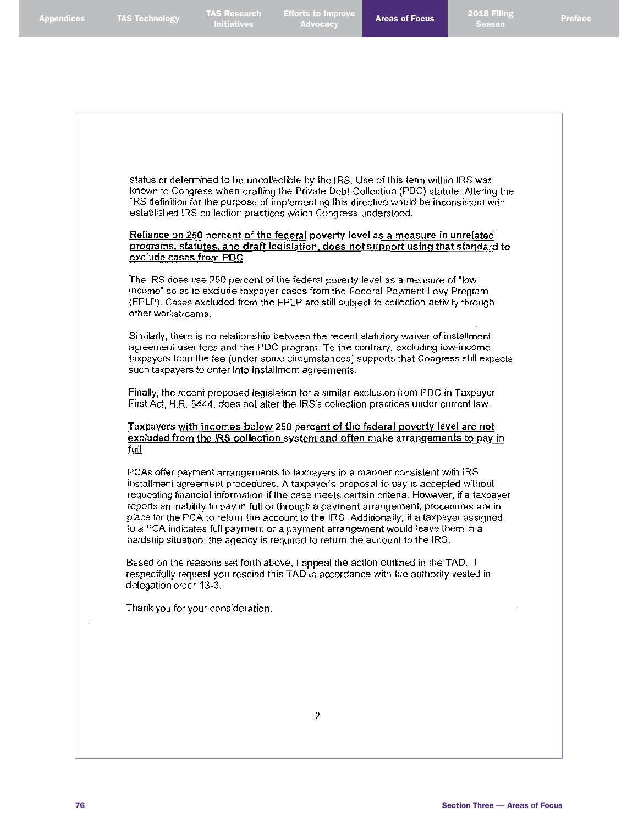status or determined to be uncollectible by the IRS. Use of this term within IRS was known to Congress when drafting the Private Debt Collection (PDC) statute. Altering the IRS definition for the purpose of implementing this directive would be inconsistent with established IRS collection practices which Congress understood.

### Reliance on 250 percent of the federal poverty level as a measure in unrelated programs, statutes, and draft legislation, does not support using that standard to exclude cases from PDC

The IRS does use 250 percent of the federal poverty level as a measure of "lowincome" so as to exclude taxpayer cases from the Federal Payment Levy Program (FPLP). Cases excluded from the FPLP are still subject to collection activity through other workstreams.

Similarly, there is no relationship between the recent statutory waiver of installment agreement user fees and the PDC program. To the contrary, excluding low-income taxpayers from the fee (under some circumstances) supports that Congress still expects such taxpayers to enter into installment agreements.

Finally, the recent proposed legislation for a similar exclusion from PDC in Taxpayer First Act, H.R. 5444, does not alter the IRS's collection practices under current law.

Taxpayers with incomes below 250 percent of the federal poverty level are not excluded from the IRS collection system and often make arrangements to pay in full

PCAs offer payment arrangements to taxpayers in a manner consistent with IRS installment agreement procedures. A taxpayer's proposal to pay is accepted without requesting financial information if the case meets certain criteria. However, if a taxpayer reports an inability to pay in full or through a payment arrangement, procedures are in place for the PCA to return the account to the IRS. Additionally, if a taxpayer assigned to a PCA indicates full payment or a payment arrangement would leave them in a hardship situation, the agency is required to return the account to the IRS.

Based on the reasons set forth above, I appeal the action outlined in the TAD. I respectfully request you rescind this TAD in accordance with the authority vested in delegation order 13-3.

Thank you for your consideration.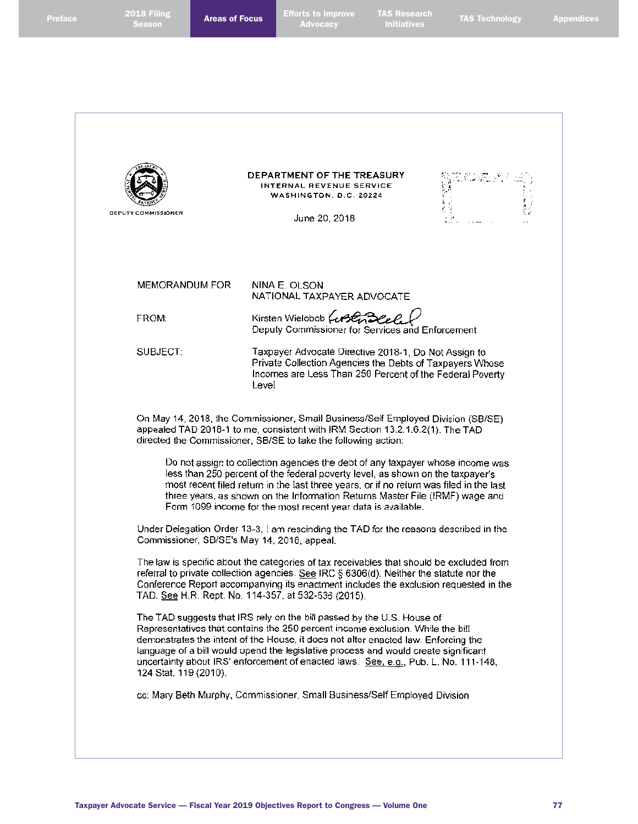|  | <b>Preface</b> |  |
|--|----------------|--|
|  |                |  |

2018 Filing<br>Season

118 Filing **Areas of Focus** Efforts to Improve **Container** 

TAS Research Initiatives TAS Technology Appendices

| <b>DEPUTY COMMISSIONER</b>                                                                                                                                                                        | DEPARTMENT OF THE TREASURY<br>INTERNAL REVENUE SERVICE<br>WASHINGTON, D.C. 20224<br>June 20, 2018                                                                                                                                                                                                                                                                                                                                                                                                                                                   |  |  |
|---------------------------------------------------------------------------------------------------------------------------------------------------------------------------------------------------|-----------------------------------------------------------------------------------------------------------------------------------------------------------------------------------------------------------------------------------------------------------------------------------------------------------------------------------------------------------------------------------------------------------------------------------------------------------------------------------------------------------------------------------------------------|--|--|
| MEMORANDUM FOR                                                                                                                                                                                    | NINA E. OLSON<br>NATIONAL TAXPAYER ADVOCATE                                                                                                                                                                                                                                                                                                                                                                                                                                                                                                         |  |  |
| FROM:                                                                                                                                                                                             | Kirsten Wielobob (cr32<br>Deputy Commissioner for Services and Enforcement                                                                                                                                                                                                                                                                                                                                                                                                                                                                          |  |  |
| SUBJECT:<br>Taxpayer Advocate Directive 2018-1, Do Not Assign to<br>Private Collection Agencies the Debts of Taxpayers Whose<br>Incomes are Less Than 250 Percent of the Federal Poverty<br>Level |                                                                                                                                                                                                                                                                                                                                                                                                                                                                                                                                                     |  |  |
|                                                                                                                                                                                                   |                                                                                                                                                                                                                                                                                                                                                                                                                                                                                                                                                     |  |  |
|                                                                                                                                                                                                   | Do not assign to collection agencies the debt of any taxpayer whose income was<br>less than 250 percent of the federal poverty level, as shown on the taxpayer's<br>most recent filed return in the last three years, or if no return was filed in the last<br>three years, as shown on the Information Returns Master File (IRMF) wage and<br>Form 1099 income for the most recent year data is available.<br>Under Delegation Order 13-3, I am rescinding the TAD for the reasons described in the<br>Commissioner, SB/SE's May 14, 2018, appeal. |  |  |
|                                                                                                                                                                                                   | The law is specific about the categories of tax receivables that should be excluded from<br>referral to private collection agencies. See IRC § 6306(d). Neither the statute nor the<br>Conference Report accompanying its enactment includes the exclusion requested in the<br>TAD, See H.R. Rept. No. 114-357, at 532-536 (2015).                                                                                                                                                                                                                  |  |  |
| 124 Stat. 119 (2010).                                                                                                                                                                             | The TAD suggests that IRS rely on the bill passed by the U.S. House of<br>Representatives that contains the 250 percent income exclusion. While the bill<br>demonstrates the intent of the House, it does not alter enacted law. Enforcing the<br>language of a bill would upend the legislative process and would create significant<br>uncertainty about IRS' enforcement of enacted laws. See, e.g., Pub. L. No. 111-148,                                                                                                                        |  |  |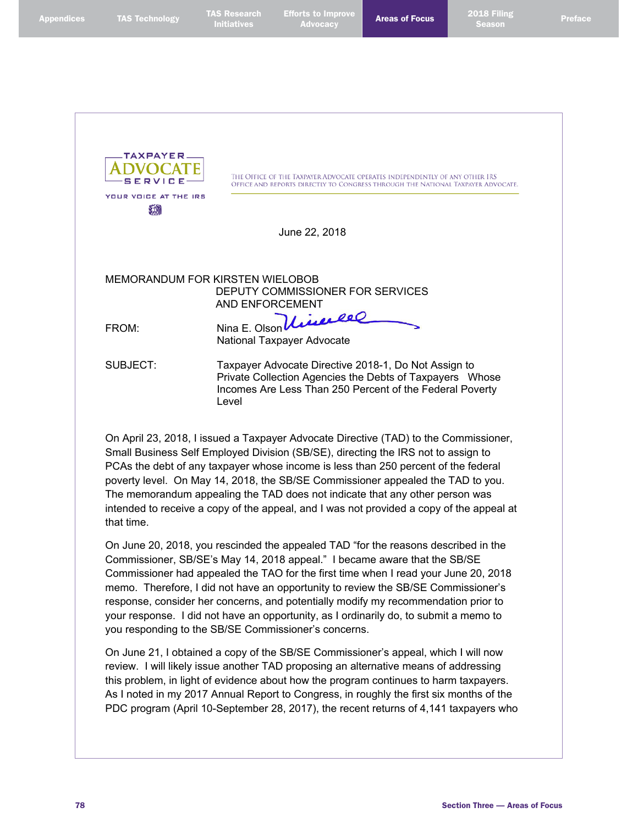| Appendices' |  |  |  |  |  |
|-------------|--|--|--|--|--|
|             |  |  |  |  |  |
|             |  |  |  |  |  |
|             |  |  |  |  |  |

| TAXPAYER<br>YOUR VOICE AT THE IRS<br>规 | The Office of the Taxpayer Advocate operates independently of any other IRS<br>OFFICE AND REPORTS DIRECTLY TO CONGRESS THROUGH THE NATIONAL TAXPAYER ADVOCATE.                                                                                                             |
|----------------------------------------|----------------------------------------------------------------------------------------------------------------------------------------------------------------------------------------------------------------------------------------------------------------------------|
|                                        | June 22, 2018                                                                                                                                                                                                                                                              |
|                                        |                                                                                                                                                                                                                                                                            |
| FROM:<br><b>SUBJECT:</b>               | MEMORANDUM FOR KIRSTEN WIELOBOB<br>DEPUTY COMMISSIONER FOR SERVICES<br><b>AND ENFORCEMENT</b><br>imerle<br>Nina E. Olsor<br>National Taxpayer Advocate<br>Taxpayer Advocate Directive 2018-1, Do Not Assign to<br>Private Collection Agencies the Debts of Taxpayers Whose |
|                                        | Incomes Are Less Than 250 Percent of the Federal Poverty<br>Level                                                                                                                                                                                                          |

On April 23, 2018, I issued a Taxpayer Advocate Directive (TAD) to the Commissioner, Small Business Self Employed Division (SB/SE), directing the IRS not to assign to PCAs the debt of any taxpayer whose income is less than 250 percent of the federal poverty level. On May 14, 2018, the SB/SE Commissioner appealed the TAD to you. The memorandum appealing the TAD does not indicate that any other person was intended to receive a copy of the appeal, and I was not provided a copy of the appeal at that time.

On June 20, 2018, you rescinded the appealed TAD "for the reasons described in the Commissioner, SB/SE's May 14, 2018 appeal." I became aware that the SB/SE Commissioner had appealed the TAO for the first time when I read your June 20, 2018 memo. Therefore, I did not have an opportunity to review the SB/SE Commissioner's response, consider her concerns, and potentially modify my recommendation prior to your response. I did not have an opportunity, as I ordinarily do, to submit a memo to you responding to the SB/SE Commissioner's concerns.

On June 21, I obtained a copy of the SB/SE Commissioner's appeal, which I will now review. I will likely issue another TAD proposing an alternative means of addressing this problem, in light of evidence about how the program continues to harm taxpayers. As I noted in my 2017 Annual Report to Congress, in roughly the first six months of the PDC program (April 10-September 28, 2017), the recent returns of 4,141 taxpayers who